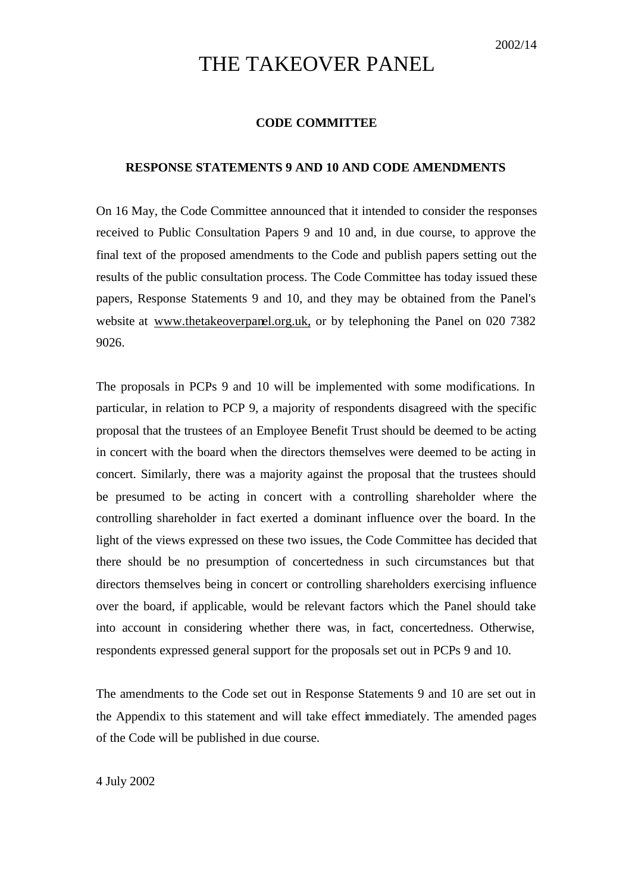# THE TAKEOVER PANEL

### **CODE COMMITTEE**

#### **RESPONSE STATEMENTS 9 AND 10 AND CODE AMENDMENTS**

On 16 May, the Code Committee announced that it intended to consider the responses received to Public Consultation Papers 9 and 10 and, in due course, to approve the final text of the proposed amendments to the Code and publish papers setting out the results of the public consultation process. The Code Committee has today issued these papers, Response Statements 9 and 10, and they may be obtained from the Panel's website at www.thetakeoverpanel.org.uk, or by telephoning the Panel on 020 7382 9026.

The proposals in PCPs 9 and 10 will be implemented with some modifications. In particular, in relation to PCP 9, a majority of respondents disagreed with the specific proposal that the trustees of an Employee Benefit Trust should be deemed to be acting in concert with the board when the directors themselves were deemed to be acting in concert. Similarly, there was a majority against the proposal that the trustees should be presumed to be acting in concert with a controlling shareholder where the controlling shareholder in fact exerted a dominant influence over the board. In the light of the views expressed on these two issues, the Code Committee has decided that there should be no presumption of concertedness in such circumstances but that directors themselves being in concert or controlling shareholders exercising influence over the board, if applicable, would be relevant factors which the Panel should take into account in considering whether there was, in fact, concertedness. Otherwise, respondents expressed general support for the proposals set out in PCPs 9 and 10.

The amendments to the Code set out in Response Statements 9 and 10 are set out in the Appendix to this statement and will take effect immediately. The amended pages of the Code will be published in due course.

4 July 2002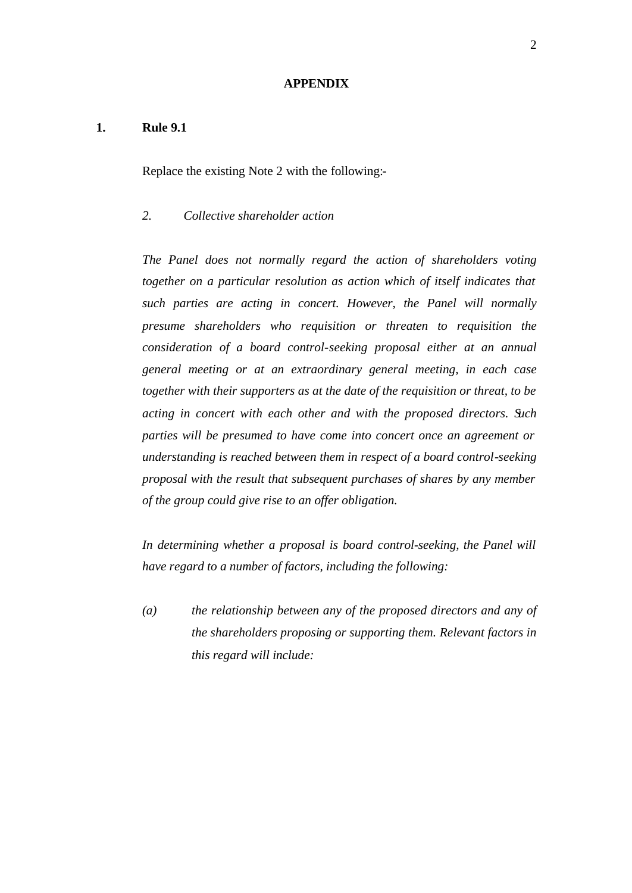#### **APPENDIX**

## **1. Rule 9.1**

Replace the existing Note 2 with the following:-

## *2. Collective shareholder action*

*The Panel does not normally regard the action of shareholders voting together on a particular resolution as action which of itself indicates that such parties are acting in concert. However, the Panel will normally presume shareholders who requisition or threaten to requisition the consideration of a board control-seeking proposal either at an annual general meeting or at an extraordinary general meeting, in each case together with their supporters as at the date of the requisition or threat, to be acting in concert with each other and with the proposed directors. Such parties will be presumed to have come into concert once an agreement or understanding is reached between them in respect of a board control-seeking proposal with the result that subsequent purchases of shares by any member of the group could give rise to an offer obligation.*

*In determining whether a proposal is board control-seeking, the Panel will have regard to a number of factors, including the following:*

*(a) the relationship between any of the proposed directors and any of the shareholders proposing or supporting them. Relevant factors in this regard will include:*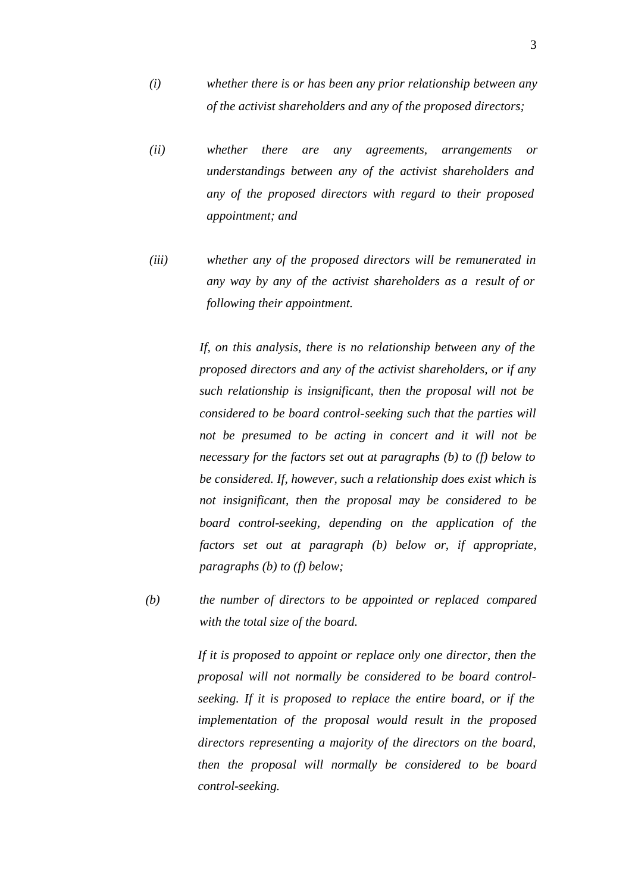- *(i) whether there is or has been any prior relationship between any of the activist shareholders and any of the proposed directors;*
- *(ii) whether there are any agreements, arrangements or understandings between any of the activist shareholders and any of the proposed directors with regard to their proposed appointment; and*
- *(iii) whether any of the proposed directors will be remunerated in any way by any of the activist shareholders as a result of or following their appointment.*

*If, on this analysis, there is no relationship between any of the proposed directors and any of the activist shareholders, or if any such relationship is insignificant, then the proposal will not be considered to be board control-seeking such that the parties will not be presumed to be acting in concert and it will not be necessary for the factors set out at paragraphs (b) to (f) below to be considered. If, however, such a relationship does exist which is not insignificant, then the proposal may be considered to be board control-seeking, depending on the application of the factors set out at paragraph (b) below or, if appropriate, paragraphs (b) to (f) below;*

*(b) the number of directors to be appointed or replaced compared with the total size of the board.*

> *If it is proposed to appoint or replace only one director, then the proposal will not normally be considered to be board controlseeking. If it is proposed to replace the entire board, or if the implementation of the proposal would result in the proposed directors representing a majority of the directors on the board, then the proposal will normally be considered to be board control-seeking.*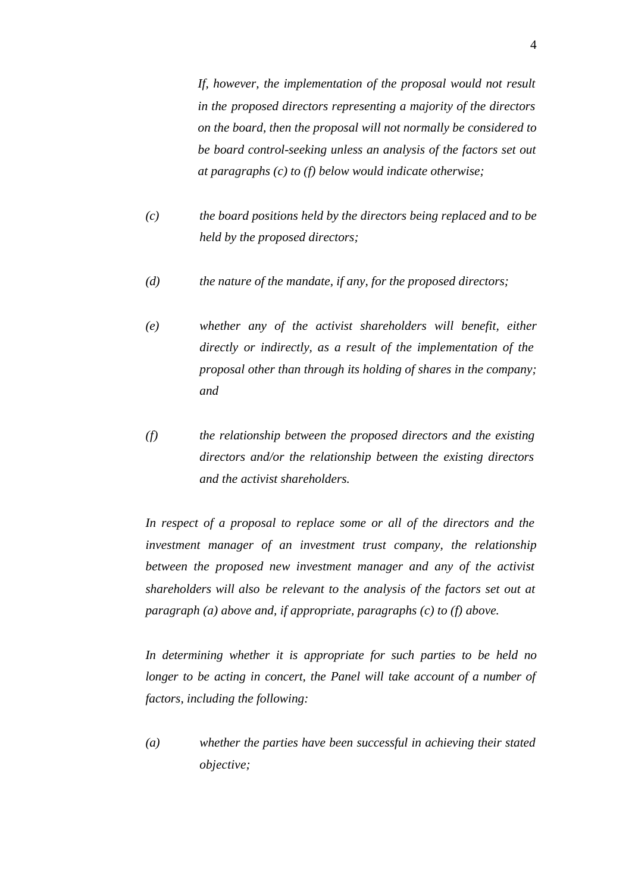If, however, the implementation of the proposal would not result *in the proposed directors representing a majority of the directors on the board, then the proposal will not normally be considered to be board control-seeking unless an analysis of the factors set out at paragraphs (c) to (f) below would indicate otherwise;*

- *(c) the board positions held by the directors being replaced and to be held by the proposed directors;*
- *(d) the nature of the mandate, if any, for the proposed directors;*
- *(e) whether any of the activist shareholders will benefit, either directly or indirectly, as a result of the implementation of the proposal other than through its holding of shares in the company; and*
- *(f) the relationship between the proposed directors and the existing directors and/or the relationship between the existing directors and the activist shareholders.*

In respect of a proposal to replace some or all of the directors and the *investment manager of an investment trust company, the relationship between the proposed new investment manager and any of the activist shareholders will also be relevant to the analysis of the factors set out at paragraph (a) above and, if appropriate, paragraphs (c) to (f) above.*

*In determining whether it is appropriate for such parties to be held no longer to be acting in concert, the Panel will take account of a number of factors, including the following:*

*(a) whether the parties have been successful in achieving their stated objective;*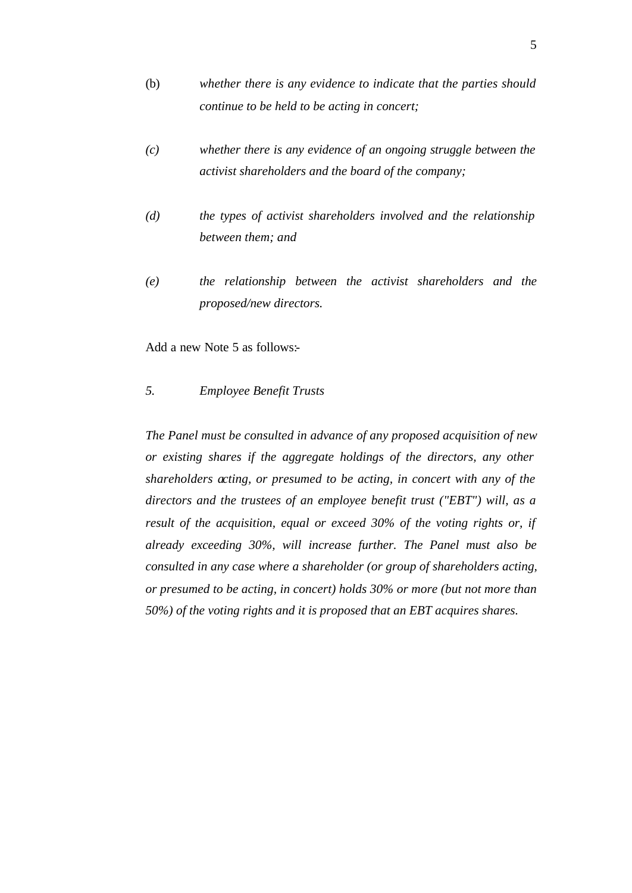- (b) *whether there is any evidence to indicate that the parties should continue to be held to be acting in concert;*
- *(c) whether there is any evidence of an ongoing struggle between the activist shareholders and the board of the company;*
- *(d) the types of activist shareholders involved and the relationship between them; and*
- *(e) the relationship between the activist shareholders and the proposed/new directors.*

Add a new Note 5 as follows:-

# *5. Employee Benefit Trusts*

*The Panel must be consulted in advance of any proposed acquisition of new or existing shares if the aggregate holdings of the directors, any other shareholders acting, or presumed to be acting, in concert with any of the directors and the trustees of an employee benefit trust ("EBT") will, as a result of the acquisition, equal or exceed 30% of the voting rights or, if already exceeding 30%, will increase further. The Panel must also be consulted in any case where a shareholder (or group of shareholders acting, or presumed to be acting, in concert) holds 30% or more (but not more than 50%) of the voting rights and it is proposed that an EBT acquires shares.*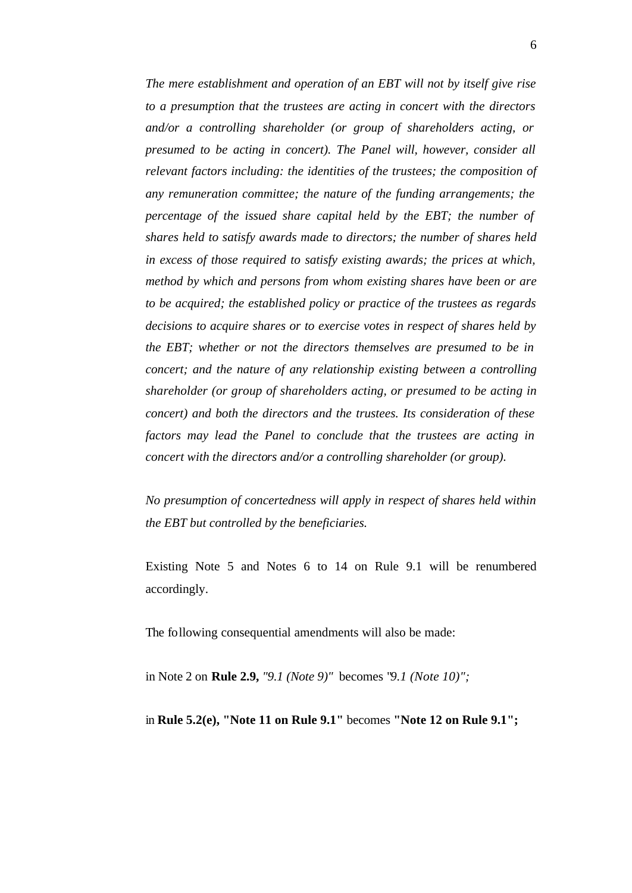*The mere establishment and operation of an EBT will not by itself give rise to a presumption that the trustees are acting in concert with the directors and/or a controlling shareholder (or group of shareholders acting, or presumed to be acting in concert). The Panel will, however, consider all relevant factors including: the identities of the trustees; the composition of any remuneration committee; the nature of the funding arrangements; the percentage of the issued share capital held by the EBT; the number of shares held to satisfy awards made to directors; the number of shares held in excess of those required to satisfy existing awards; the prices at which, method by which and persons from whom existing shares have been or are to be acquired; the established policy or practice of the trustees as regards decisions to acquire shares or to exercise votes in respect of shares held by the EBT; whether or not the directors themselves are presumed to be in concert; and the nature of any relationship existing between a controlling shareholder (or group of shareholders acting, or presumed to be acting in concert) and both the directors and the trustees. Its consideration of these factors may lead the Panel to conclude that the trustees are acting in concert with the directors and/or a controlling shareholder (or group).*

*No presumption of concertedness will apply in respect of shares held within the EBT but controlled by the beneficiaries.*

Existing Note 5 and Notes 6 to 14 on Rule 9.1 will be renumbered accordingly.

The following consequential amendments will also be made:

in Note 2 on **Rule 2.9,** *"9.1 (Note 9)"* becomes "*9.1 (Note 10)";*

in **Rule 5.2(e), "Note 11 on Rule 9.1"** becomes **"Note 12 on Rule 9.1";**